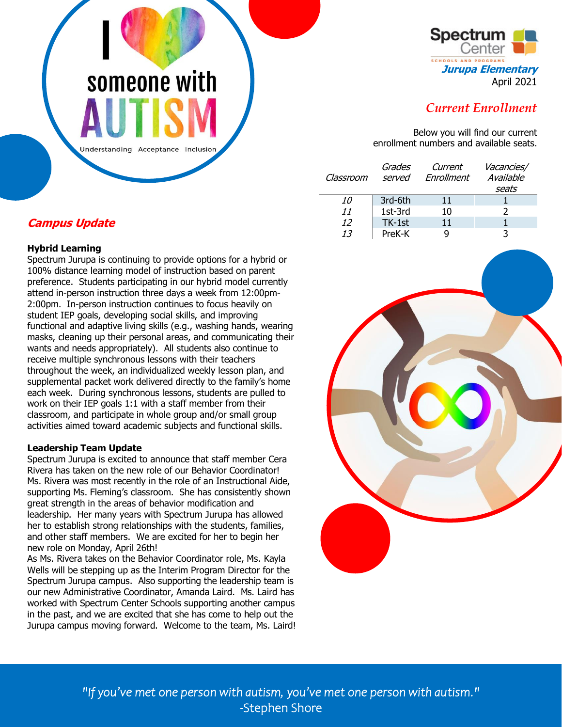# someone with

Understanding Acceptance Inclusion



# *Current Enrollment*

Below you will find our current enrollment numbers and available seats.

| Classroom | Grades<br>served | Current<br>Enrollment | Vacancies/<br>Available |
|-----------|------------------|-----------------------|-------------------------|
|           |                  |                       | seats                   |
| 10        | 3rd-6th          | 11                    |                         |
| 11        | 1st-3rd          | 10                    |                         |
| 12        | TK-1st           | 11                    |                         |
| 13        | PreK-K           |                       |                         |

# **Campus Update**

## **Hybrid Learning**

Spectrum Jurupa is continuing to provide options for a hybrid or 100% distance learning model of instruction based on parent preference. Students participating in our hybrid model currently attend in-person instruction three days a week from 12:00pm-2:00pm. In-person instruction continues to focus heavily on student IEP goals, developing social skills, and improving functional and adaptive living skills (e.g., washing hands, wearing masks, cleaning up their personal areas, and communicating their wants and needs appropriately). All students also continue to receive multiple synchronous lessons with their teachers throughout the week, an individualized weekly lesson plan, and supplemental packet work delivered directly to the family's home each week. During synchronous lessons, students are pulled to work on their IEP goals 1:1 with a staff member from their classroom, and participate in whole group and/or small group activities aimed toward academic subjects and functional skills.

#### **Leadership Team Update**

Spectrum Jurupa is excited to announce that staff member Cera Rivera has taken on the new role of our Behavior Coordinator! Ms. Rivera was most recently in the role of an Instructional Aide, supporting Ms. Fleming's classroom. She has consistently shown great strength in the areas of behavior modification and leadership. Her many years with Spectrum Jurupa has allowed her to establish strong relationships with the students, families, and other staff members. We are excited for her to begin her new role on Monday, April 26th!

As Ms. Rivera takes on the Behavior Coordinator role, Ms. Kayla Wells will be stepping up as the Interim Program Director for the Spectrum Jurupa campus. Also supporting the leadership team is our new Administrative Coordinator, Amanda Laird. Ms. Laird has worked with Spectrum Center Schools supporting another campus in the past, and we are excited that she has come to help out the Jurupa campus moving forward. Welcome to the team, Ms. Laird!



*"If you've met one person with autism, you've met one person with autism."*  -Stephen Shore